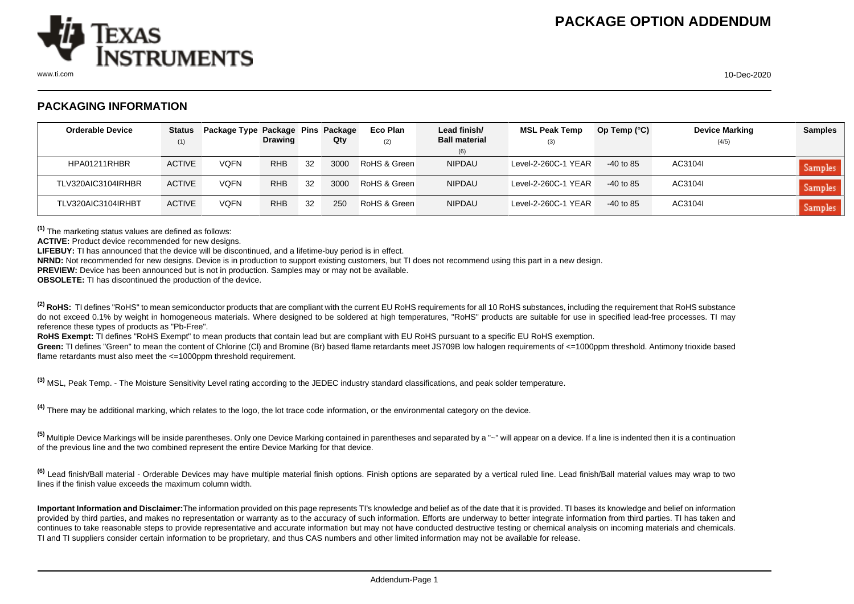

## **PACKAGING INFORMATION**

| <b>Orderable Device</b> | <b>Status</b> | Package Type Package Pins Package |                |    |      | Eco Plan     | Lead finish/         | <b>MSL Peak Temp</b> | Op Temp $(^{\circ}C)$ | <b>Device Marking</b> | <b>Samples</b> |
|-------------------------|---------------|-----------------------------------|----------------|----|------|--------------|----------------------|----------------------|-----------------------|-----------------------|----------------|
|                         | (1)           |                                   | <b>Drawing</b> |    | Qty  | (2)          | <b>Ball material</b> | (3)                  |                       | (4/5)                 |                |
|                         |               |                                   |                |    |      |              | (6)                  |                      |                       |                       |                |
| HPA01211RHBR            | <b>ACTIVE</b> | <b>VQFN</b>                       | <b>RHB</b>     | 32 | 3000 | RoHS & Green | <b>NIPDAU</b>        | Level-2-260C-1 YEAR  | $-40$ to 85           | AC3104I               | <b>Samples</b> |
| TLV320AIC3104IRHBR      | <b>ACTIVE</b> | <b>VQFN</b>                       | <b>RHB</b>     | 32 | 3000 | RoHS & Green | <b>NIPDAU</b>        | Level-2-260C-1 YEAR  | $-40$ to 85           | AC3104I               | <b>Samples</b> |
| TLV320AIC3104IRHBT      | <b>ACTIVE</b> | <b>VQFN</b>                       | <b>RHB</b>     | 32 | 250  | RoHS & Green | <b>NIPDAU</b>        | Level-2-260C-1 YEAR  | $-40$ to 85           | AC3104I               | Samples        |

**(1)** The marketing status values are defined as follows:

**ACTIVE:** Product device recommended for new designs.

**LIFEBUY:** TI has announced that the device will be discontinued, and a lifetime-buy period is in effect.

**NRND:** Not recommended for new designs. Device is in production to support existing customers, but TI does not recommend using this part in a new design.

**PREVIEW:** Device has been announced but is not in production. Samples may or may not be available.

**OBSOLETE:** TI has discontinued the production of the device.

<sup>(2)</sup> RoHS: TI defines "RoHS" to mean semiconductor products that are compliant with the current EU RoHS requirements for all 10 RoHS substances, including the requirement that RoHS substance do not exceed 0.1% by weight in homogeneous materials. Where designed to be soldered at high temperatures, "RoHS" products are suitable for use in specified lead-free processes. TI may reference these types of products as "Pb-Free".

RoHS Exempt: TI defines "RoHS Exempt" to mean products that contain lead but are compliant with EU RoHS pursuant to a specific EU RoHS exemption.

Green: TI defines "Green" to mean the content of Chlorine (CI) and Bromine (Br) based flame retardants meet JS709B low halogen requirements of <=1000ppm threshold. Antimony trioxide based flame retardants must also meet the <=1000ppm threshold requirement.

**(3)** MSL, Peak Temp. - The Moisture Sensitivity Level rating according to the JEDEC industry standard classifications, and peak solder temperature.

**(4)** There may be additional marking, which relates to the logo, the lot trace code information, or the environmental category on the device.

**(5)** Multiple Device Markings will be inside parentheses. Only one Device Marking contained in parentheses and separated by a "~" will appear on a device. If a line is indented then it is a continuation of the previous line and the two combined represent the entire Device Marking for that device.

**(6)** Lead finish/Ball material - Orderable Devices may have multiple material finish options. Finish options are separated by a vertical ruled line. Lead finish/Ball material values may wrap to two lines if the finish value exceeds the maximum column width.

**Important Information and Disclaimer:**The information provided on this page represents TI's knowledge and belief as of the date that it is provided. TI bases its knowledge and belief on information provided by third parties, and makes no representation or warranty as to the accuracy of such information. Efforts are underway to better integrate information from third parties. TI has taken and continues to take reasonable steps to provide representative and accurate information but may not have conducted destructive testing or chemical analysis on incoming materials and chemicals. TI and TI suppliers consider certain information to be proprietary, and thus CAS numbers and other limited information may not be available for release.